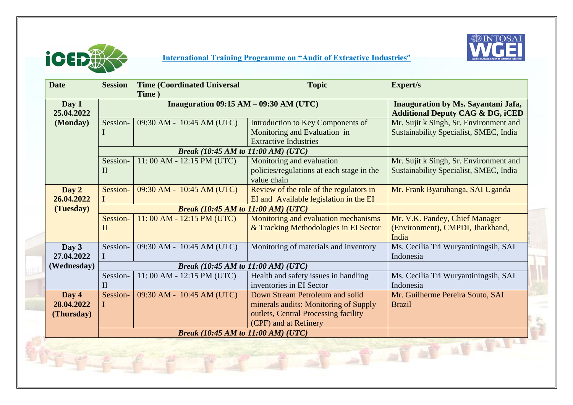

## **International Training Programme on "Audit of Extractive Industries"**



| <b>Date</b>                       | <b>Session</b>                            | <b>Time (Coordinated Universal</b><br>Time) | <b>Topic</b>                                                                                                                              | <b>Expert/s</b>                                                                    |  |  |
|-----------------------------------|-------------------------------------------|---------------------------------------------|-------------------------------------------------------------------------------------------------------------------------------------------|------------------------------------------------------------------------------------|--|--|
| Day 1<br>25.04.2022               | Inauguration $09:15 AM - 09:30 AM (UTC)$  |                                             |                                                                                                                                           | Inauguration by Ms. Sayantani Jafa,<br><b>Additional Deputy CAG &amp; DG, iCED</b> |  |  |
| (Monday)                          | Session-                                  | 09:30 AM - 10:45 AM (UTC)                   | Introduction to Key Components of<br>Monitoring and Evaluation in<br><b>Extractive Industries</b>                                         | Mr. Sujit k Singh, Sr. Environment and<br>Sustainability Specialist, SMEC, India   |  |  |
|                                   |                                           | <b>Break (10:45 AM to 11:00 AM) (UTC)</b>   |                                                                                                                                           |                                                                                    |  |  |
|                                   | Session-<br>$\mathbf{I}$                  | 11:00 AM - 12:15 PM (UTC)                   | Monitoring and evaluation<br>policies/regulations at each stage in the<br>value chain                                                     | Mr. Sujit k Singh, Sr. Environment and<br>Sustainability Specialist, SMEC, India   |  |  |
| Day 2<br>26.04.2022               | Session-                                  | 09:30 AM - 10:45 AM (UTC)                   | Review of the role of the regulators in<br>EI and Available legislation in the EI                                                         | Mr. Frank Byaruhanga, SAI Uganda                                                   |  |  |
| (Tuesday)                         |                                           | <b>Break (10:45 AM to 11:00 AM) (UTC)</b>   |                                                                                                                                           |                                                                                    |  |  |
|                                   | Session-<br>$\mathbf{I}$                  | $11:00$ AM - $12:15$ PM (UTC)               | Monitoring and evaluation mechanisms<br>& Tracking Methodologies in EI Sector                                                             | Mr. V.K. Pandey, Chief Manager<br>(Environment), CMPDI, Jharkhand,<br>India        |  |  |
| Day 3<br>27.04.2022               | Session-                                  | 09:30 AM - 10:45 AM (UTC)                   | Monitoring of materials and inventory                                                                                                     | Ms. Cecilia Tri Wuryantiningsih, SAI<br>Indonesia                                  |  |  |
| (Wednesday)                       | <b>Break</b> (10:45 AM to 11:00 AM) (UTC) |                                             |                                                                                                                                           |                                                                                    |  |  |
|                                   | Session-<br>$\mathbf{I}$                  | 11:00 AM - 12:15 PM (UTC)                   | Health and safety issues in handling<br>inventories in EI Sector                                                                          | Ms. Cecilia Tri Wuryantiningsih, SAI<br>Indonesia                                  |  |  |
| Day 4<br>28.04.2022<br>(Thursday) | Session-                                  | 09:30 AM - 10:45 AM (UTC)                   | Down Stream Petroleum and solid<br>minerals audits: Monitoring of Supply<br>outlets, Central Processing facility<br>(CPF) and at Refinery | Mr. Guilherme Pereira Souto, SAI<br><b>Brazil</b>                                  |  |  |
|                                   | <b>Break (10:45 AM to 11:00 AM) (UTC)</b> |                                             |                                                                                                                                           |                                                                                    |  |  |
| Let of at afair                   |                                           |                                             |                                                                                                                                           |                                                                                    |  |  |